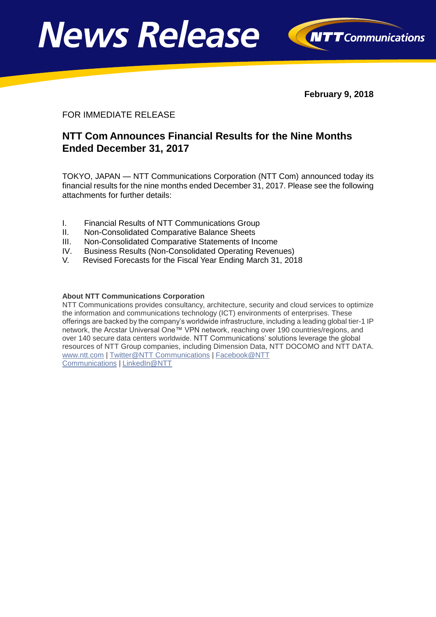



**February 9, 2018**

#### FOR IMMEDIATE RELEASE

## **NTT Com Announces Financial Results for the Nine Months Ended December 31, 2017**

TOKYO, JAPAN — NTT Communications Corporation (NTT Com) announced today its financial results for the nine months ended December 31, 2017. Please see the following attachments for further details:

- I. Financial Results of NTT Communications Group
- II. Non-Consolidated Comparative Balance Sheets
- III. Non-Consolidated Comparative Statements of Income
- IV. Business Results (Non-Consolidated Operating Revenues)
- V. Revised Forecasts for the Fiscal Year Ending March 31, 2018

#### **About NTT Communications Corporation**

NTT Communications provides consultancy, architecture, security and cloud services to optimize the information and communications technology (ICT) environments of enterprises. These offerings are backed by the company's worldwide infrastructure, including a leading global tier-1 IP network, the Arcstar Universal One™ VPN network, reaching over 190 countries/regions, and over 140 secure data centers worldwide. NTT Communications' solutions leverage the global resources of NTT Group companies, including Dimension Data, NTT DOCOMO and NTT DATA. [www.ntt.com](http://www.ntt.com/index-e.html) | [Twitter@NTT Communications](http://www.twitter.com/nttcom) | [Facebook@NTT](http://www.facebook.com/nttcomtv)  [Communications](http://www.facebook.com/nttcomtv) | [LinkedIn@NTT](http://www.linkedin.com/company/ntt-communications)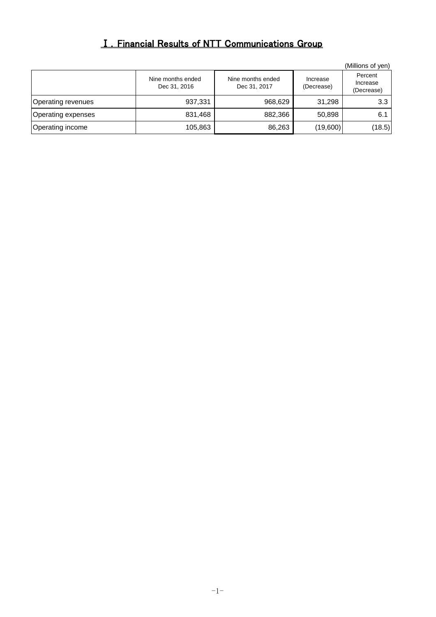# Ⅰ.Financial Results of NTT Communications Group

|                    |                                   |                                   |                        | (Millions of yen)                 |
|--------------------|-----------------------------------|-----------------------------------|------------------------|-----------------------------------|
|                    | Nine months ended<br>Dec 31, 2016 | Nine months ended<br>Dec 31, 2017 | Increase<br>(Decrease) | Percent<br>Increase<br>(Decrease) |
| Operating revenues | 937,331                           | 968,629                           | 31,298                 | 3.3                               |
| Operating expenses | 831,468                           | 882,366                           | 50,898                 | 6.1                               |
| Operating income   | 105,863                           | 86,263                            | (19,600)               | (18.5)                            |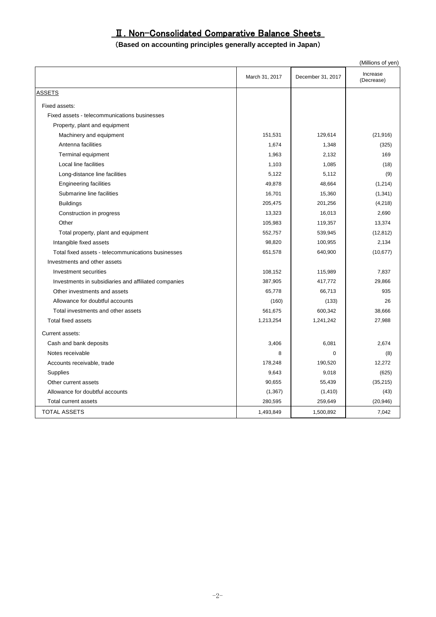## Ⅱ. Non-Consolidated Comparative Balance Sheets

#### (**Based on accounting principles generally accepted in Japan**)

|                                                      |                |                   | (Millions of yen)      |
|------------------------------------------------------|----------------|-------------------|------------------------|
|                                                      | March 31, 2017 | December 31, 2017 | Increase<br>(Decrease) |
| <u>ASSETS</u>                                        |                |                   |                        |
| Fixed assets:                                        |                |                   |                        |
| Fixed assets - telecommunications businesses         |                |                   |                        |
| Property, plant and equipment                        |                |                   |                        |
| Machinery and equipment                              | 151,531        | 129,614           | (21, 916)              |
| Antenna facilities                                   | 1,674          | 1,348             | (325)                  |
| Terminal equipment                                   | 1,963          | 2,132             | 169                    |
| Local line facilities                                | 1,103          | 1,085             | (18)                   |
| Long-distance line facilities                        | 5,122          | 5,112             | (9)                    |
| <b>Engineering facilities</b>                        | 49,878         | 48,664            | (1,214)                |
| Submarine line facilities                            | 16,701         | 15,360            | (1, 341)               |
| <b>Buildings</b>                                     | 205,475        | 201,256           | (4,218)                |
| Construction in progress                             | 13,323         | 16,013            | 2,690                  |
| Other                                                | 105,983        | 119,357           | 13,374                 |
| Total property, plant and equipment                  | 552,757        | 539,945           | (12, 812)              |
| Intangible fixed assets                              | 98,820         | 100,955           | 2,134                  |
| Total fixed assets - telecommunications businesses   | 651,578        | 640,900           | (10, 677)              |
| Investments and other assets                         |                |                   |                        |
| Investment securities                                | 108,152        | 115,989           | 7.837                  |
| Investments in subsidiaries and affiliated companies | 387,905        | 417,772           | 29,866                 |
| Other investments and assets                         | 65,778         | 66,713            | 935                    |
| Allowance for doubtful accounts                      | (160)          | (133)             | 26                     |
| Total investments and other assets                   | 561,675        | 600,342           | 38,666                 |
| <b>Total fixed assets</b>                            | 1,213,254      | 1,241,242         | 27,988                 |
| Current assets:                                      |                |                   |                        |
| Cash and bank deposits                               | 3,406          | 6,081             | 2,674                  |
| Notes receivable                                     | 8              | $\mathbf 0$       | (8)                    |
| Accounts receivable, trade                           | 178,248        | 190,520           | 12,272                 |
| <b>Supplies</b>                                      | 9,643          | 9,018             | (625)                  |
| Other current assets                                 | 90,655         | 55,439            | (35, 215)              |
| Allowance for doubtful accounts                      | (1, 367)       | (1, 410)          | (43)                   |
| Total current assets                                 | 280,595        | 259,649           | (20, 946)              |
| <b>TOTAL ASSETS</b>                                  | 1,493,849      | 1,500,892         | 7,042                  |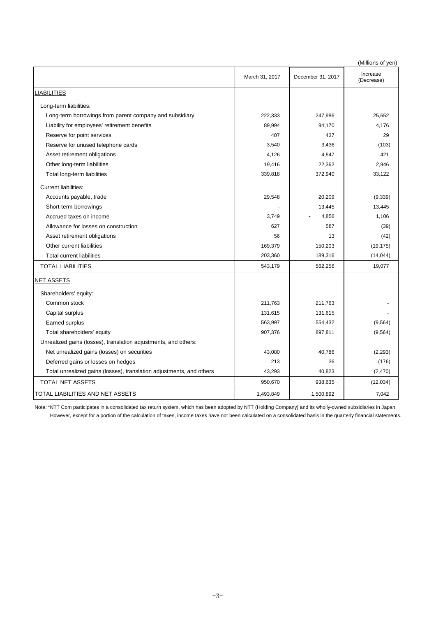|                                                                      |                |                   | (Millions of yen)      |
|----------------------------------------------------------------------|----------------|-------------------|------------------------|
|                                                                      | March 31, 2017 | December 31, 2017 | Increase<br>(Decrease) |
| <b>LIABILITIES</b>                                                   |                |                   |                        |
| Long-term liabilities:                                               |                |                   |                        |
| Long-term borrowings from parent company and subsidiary              | 222,333        | 247,986           | 25,652                 |
| Liability for employees' retirement benefits                         | 89,994         | 94,170            | 4,176                  |
| Reserve for point services                                           | 407            | 437               | 29                     |
| Reserve for unused telephone cards                                   | 3,540          | 3,436             | (103)                  |
| Asset retirement obligations                                         | 4,126          | 4,547             | 421                    |
| Other long-term liabilities                                          | 19,416         | 22,362            | 2,946                  |
| Total long-term liabilities                                          | 339,818        | 372,940           | 33,122                 |
| <b>Current liabilities:</b>                                          |                |                   |                        |
| Accounts payable, trade                                              | 29,548         | 20,209            | (9, 339)               |
| Short-term borrowings                                                |                | 13,445            | 13,445                 |
| Accrued taxes on income                                              | 3,749          | 4,856             | 1,106                  |
| Allowance for losses on construction                                 | 627            | 587               | (39)                   |
| Asset retirement obligations                                         | 56             | 13                | (42)                   |
| Other current liabilities                                            | 169,379        | 150,203           | (19, 175)              |
| <b>Total current liabilities</b>                                     | 203,360        | 189,316           | (14, 044)              |
| <b>TOTAL LIABILITIES</b>                                             | 543,179        | 562,256           | 19,077                 |
| <b>NET ASSETS</b>                                                    |                |                   |                        |
| Shareholders' equity:                                                |                |                   |                        |
| Common stock                                                         | 211,763        | 211,763           |                        |
| Capital surplus                                                      | 131,615        | 131,615           |                        |
| Earned surplus                                                       | 563,997        | 554,432           | (9, 564)               |
| Total shareholders' equity                                           | 907,376        | 897,811           | (9, 564)               |
| Unrealized gains (losses), translation adjustments, and others:      |                |                   |                        |
| Net unrealized gains (losses) on securities                          | 43,080         | 40,786            | (2,293)                |
| Deferred gains or losses on hedges                                   | 213            | 36                | (176)                  |
| Total unrealized gains (losses), translation adjustments, and others | 43,293         | 40,823            | (2, 470)               |
| TOTAL NET ASSETS                                                     | 950,670        | 938,635           | (12,034)               |
| TOTAL LIABILITIES AND NET ASSETS                                     | 1,493,849      | 1,500,892         | 7,042                  |

Note: \*NTT Com participates in a consolidated tax return system, which has been adopted by NTT (Holding Company) and its wholly-owned subsidiaries in Japan.

However, except for a portion of the calculation of taxes, income taxes have not been calculated on a consolidated basis in the quarterly financial statements.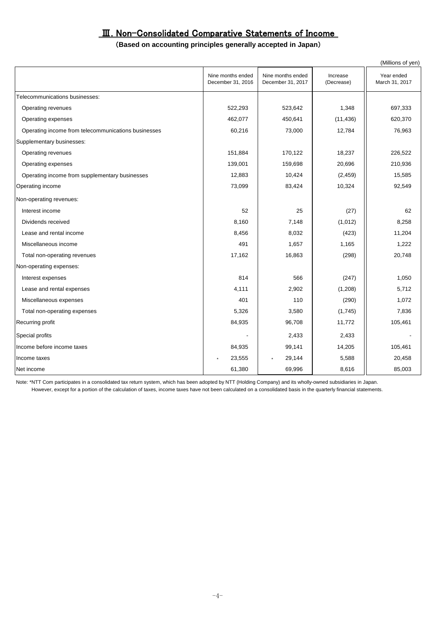### Ⅲ. Non-Consolidated Comparative Statements of Income

#### (**Based on accounting principles generally accepted in Japan**)

|                                                     |                                        |                                        |                        | (Millions of yen)            |
|-----------------------------------------------------|----------------------------------------|----------------------------------------|------------------------|------------------------------|
|                                                     | Nine months ended<br>December 31, 2016 | Nine months ended<br>December 31, 2017 | Increase<br>(Decrease) | Year ended<br>March 31, 2017 |
| Telecommunications businesses:                      |                                        |                                        |                        |                              |
| Operating revenues                                  | 522,293                                | 523,642                                | 1,348                  | 697,333                      |
| Operating expenses                                  | 462,077                                | 450,641                                | (11, 436)              | 620,370                      |
| Operating income from telecommunications businesses | 60,216                                 | 73,000                                 | 12,784                 | 76,963                       |
| Supplementary businesses:                           |                                        |                                        |                        |                              |
| Operating revenues                                  | 151,884                                | 170,122                                | 18,237                 | 226,522                      |
| Operating expenses                                  | 139,001                                | 159,698                                | 20,696                 | 210,936                      |
| Operating income from supplementary businesses      | 12,883                                 | 10,424                                 | (2, 459)               | 15,585                       |
| Operating income                                    | 73,099                                 | 83,424                                 | 10,324                 | 92,549                       |
| Non-operating revenues:                             |                                        |                                        |                        |                              |
| Interest income                                     | 52                                     | 25                                     | (27)                   | 62                           |
| Dividends received                                  | 8,160                                  | 7,148                                  | (1,012)                | 8,258                        |
| Lease and rental income                             | 8,456                                  | 8,032                                  | (423)                  | 11,204                       |
| Miscellaneous income                                | 491                                    | 1,657                                  | 1,165                  | 1,222                        |
| Total non-operating revenues                        | 17,162                                 | 16,863                                 | (298)                  | 20,748                       |
| Non-operating expenses:                             |                                        |                                        |                        |                              |
| Interest expenses                                   | 814                                    | 566                                    | (247)                  | 1,050                        |
| Lease and rental expenses                           | 4,111                                  | 2,902                                  | (1, 208)               | 5,712                        |
| Miscellaneous expenses                              | 401                                    | 110                                    | (290)                  | 1,072                        |
| Total non-operating expenses                        | 5,326                                  | 3,580                                  | (1,745)                | 7,836                        |
| Recurring profit                                    | 84,935                                 | 96,708                                 | 11,772                 | 105,461                      |
| Special profits                                     |                                        | 2,433                                  | 2,433                  |                              |
| Income before income taxes                          | 84,935                                 | 99,141                                 | 14,205                 | 105,461                      |
| Income taxes                                        | 23,555                                 | 29,144<br>$\star$                      | 5,588                  | 20,458                       |
| Net income                                          | 61,380                                 | 69,996                                 | 8,616                  | 85,003                       |

Note: \*NTT Com participates in a consolidated tax return system, which has been adopted by NTT (Holding Company) and its wholly-owned subsidiaries in Japan. However, except for a portion of the calculation of taxes, income taxes have not been calculated on a consolidated basis in the quarterly financial statements.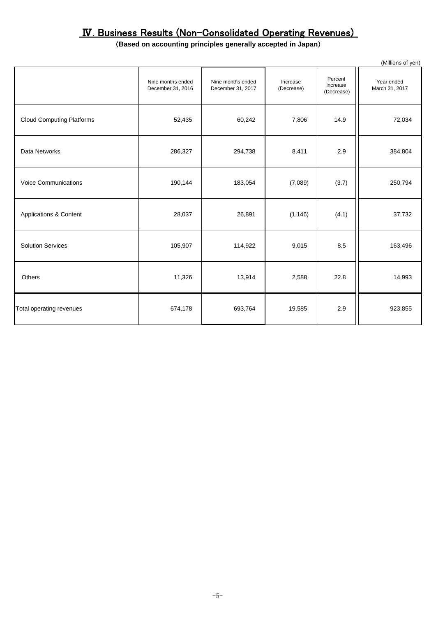# Ⅳ. Business Results (Non-Consolidated Operating Revenues)

### (**Based on accounting principles generally accepted in Japan**)

|                                   |                                        |                                        |                        |                                   | (Millions of yen)            |
|-----------------------------------|----------------------------------------|----------------------------------------|------------------------|-----------------------------------|------------------------------|
|                                   | Nine months ended<br>December 31, 2016 | Nine months ended<br>December 31, 2017 | Increase<br>(Decrease) | Percent<br>Increase<br>(Decrease) | Year ended<br>March 31, 2017 |
| <b>Cloud Computing Platforms</b>  | 52,435                                 | 60,242                                 | 7,806                  | 14.9                              | 72,034                       |
| Data Networks                     | 286,327                                | 294,738                                | 8,411                  | 2.9                               | 384,804                      |
| <b>Voice Communications</b>       | 190,144                                | 183,054                                | (7,089)                | (3.7)                             | 250,794                      |
| <b>Applications &amp; Content</b> | 28,037                                 | 26,891                                 | (1, 146)               | (4.1)                             | 37,732                       |
| <b>Solution Services</b>          | 105,907                                | 114,922                                | 9,015                  | 8.5                               | 163,496                      |
| <b>Others</b>                     | 11,326                                 | 13,914                                 | 2,588                  | 22.8                              | 14,993                       |
| Total operating revenues          | 674,178                                | 693,764                                | 19,585                 | 2.9                               | 923,855                      |